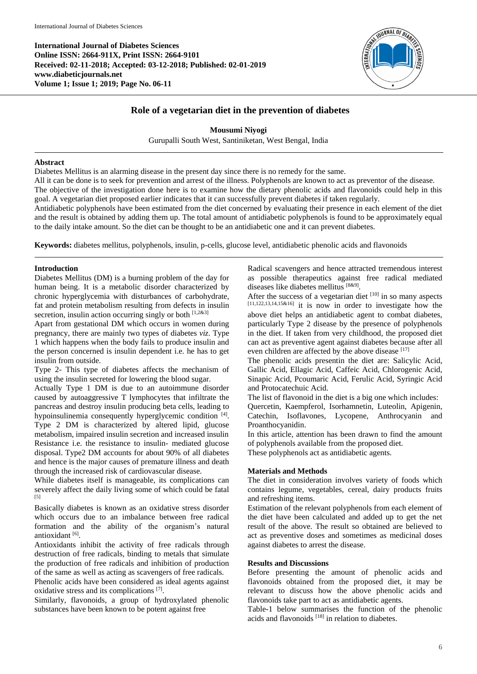**International Journal of Diabetes Sciences Online ISSN: 2664-911X, Print ISSN: 2664-9101 Received: 02-11-2018; Accepted: 03-12-2018; Published: 02-01-2019 www.diabeticjournals.net Volume 1; Issue 1; 2019; Page No. 06-11**



# **Role of a vegetarian diet in the prevention of diabetes**

**Mousumi Niyogi** Gurupalli South West, Santiniketan, West Bengal, India

### **Abstract**

Diabetes Mellitus is an alarming disease in the present day since there is no remedy for the same.

All it can be done is to seek for prevention and arrest of the illness. Polyphenols are known to act as preventor of the disease. The objective of the investigation done here is to examine how the dietary phenolic acids and flavonoids could help in this goal. A vegetarian diet proposed earlier indicates that it can successfully prevent diabetes if taken regularly.

Antidiabetic polyphenols have been estimated from the diet concerned by evaluating their presence in each element of the diet and the result is obtained by adding them up. The total amount of antidiabetic polyphenols is found to be approximately equal to the daily intake amount. So the diet can be thought to be an antidiabetic one and it can prevent diabetes.

**Keywords:** diabetes mellitus, polyphenols, insulin, p-cells, glucose level, antidiabetic phenolic acids and flavonoids

### **Introduction**

Diabetes Mellitus (DM) is a burning problem of the day for human being. It is a metabolic disorder characterized by chronic hyperglycemia with disturbances of carbohydrate, fat and protein metabolism resulting from defects in insulin secretion, insulin action occurring singly or both  $[1,2\&3]$ 

Apart from gestational DM which occurs in women during pregnancy, there are mainly two types of diabetes *viz*. Type 1 which happens when the body fails to produce insulin and the person concerned is insulin dependent i.e. he has to get insulin from outside.

Type 2- This type of diabetes affects the mechanism of using the insulin secreted for lowering the blood sugar.

Actually Type 1 DM is due to an autoimmune disorder caused by autoaggressive T lymphocytes that infiltrate the pancreas and destroy insulin producing beta cells, leading to hypoinsulinemia consequently hyperglycemic condition [4]. Type 2 DM is characterized by altered lipid, glucose metabolism, impaired insulin secretion and increased insulin Resistance i.e. the resistance to insulin- mediated glucose disposal. Type2 DM accounts for about 90% of all diabetes and hence is the major causes of premature illness and death through the increased risk of cardiovascular disease.

While diabetes itself is manageable, its complications can severely affect the daily living some of which could be fatal [5]

Basically diabetes is known as an oxidative stress disorder which occurs due to an imbalance between free radical formation and the ability of the organism's natural antioxidant [6].

Antioxidants inhibit the activity of free radicals through destruction of free radicals, binding to metals that simulate the production of free radicals and inhibition of production of the same as well as acting as scavengers of free radicals.

Phenolic acids have been considered as ideal agents against oxidative stress and its complications [7].

Similarly, flavonoids, a group of hydroxylated phenolic substances have been known to be potent against free

Radical scavengers and hence attracted tremendous interest as possible therapeutics against free radical mediated diseases like diabetes mellitus [8&9] .

After the success of a vegetarian diet  $[10]$  in so many aspects [11,122,13,14,15&16] it is now in order to investigate how the above diet helps an antidiabetic agent to combat diabetes, particularly Type 2 disease by the presence of polyphenols in the diet. If taken from very childhood, the proposed diet can act as preventive agent against diabetes because after all even children are affected by the above disease [17]

The phenolic acids presentin the diet are: Salicylic Acid, Gallic Acid, Ellagic Acid, Caffeic Acid, Chlorogenic Acid, Sinapic Acid, Pcoumaric Acid, Ferulic Acid, Syringic Acid and Protocatechuic Acid.

The list of flavonoid in the diet is a big one which includes:

Quercetin, Kaempferol, Isorhamnetin, Luteolin, Apigenin, Catechin, Isoflavones, Lycopene, Anthrocyanin and Proanthocyanidin.

In this article, attention has been drawn to find the amount of polyphenols available from the proposed diet.

These polyphenols act as antidiabetic agents.

### **Materials and Methods**

The diet in consideration involves variety of foods which contains legume, vegetables, cereal, dairy products fruits and refreshing items.

Estimation of the relevant polyphenols from each element of the diet have been calculated and added up to get the net result of the above. The result so obtained are believed to act as preventive doses and sometimes as medicinal doses against diabetes to arrest the disease.

### **Results and Discussions**

Before presenting the amount of phenolic acids and flavonoids obtained from the proposed diet, it may be relevant to discuss how the above phenolic acids and flavonoids take part to act as antidiabetic agents.

Table-1 below summarises the function of the phenolic acids and flavonoids  $[18]$  in relation to diabetes.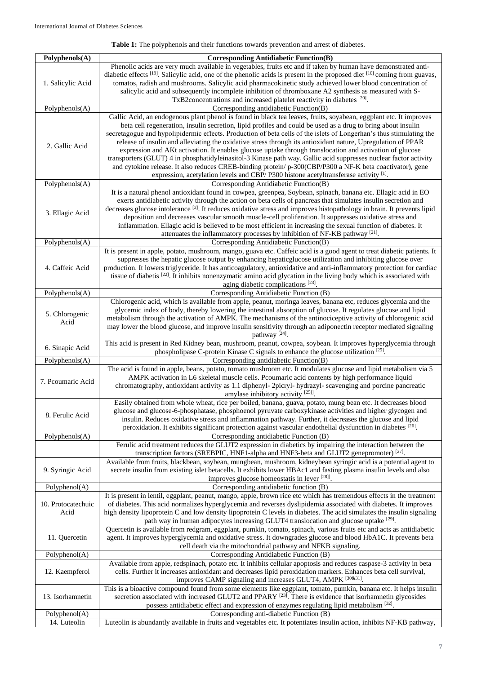# **Table 1:** The polyphenols and their functions towards prevention and arrest of diabetes.

| Polyphenols(A)     | <b>Corresponding Antidiabetic Function(B)</b>                                                                                                                                                                                         |
|--------------------|---------------------------------------------------------------------------------------------------------------------------------------------------------------------------------------------------------------------------------------|
|                    | Phenolic acids are very much available in vegetables, fruits etc and if taken by human have demonstrated anti-                                                                                                                        |
|                    | diabetic effects $^{[19]}$ . Salicylic acid, one of the phenolic acids is present in the proposed diet $^{[10]}$ coming from guavas,                                                                                                  |
| 1. Salicylic Acid  | tomatos, radish and mushrooms. Salicylic acid pharmacokinetic study achieved lower blood concentration of                                                                                                                             |
|                    | salicylic acid and subsequently incomplete inhibition of thromboxane A2 synthesis as measured with S-                                                                                                                                 |
|                    | TxB2concentrations and increased platelet reactivity in diabetes [20].                                                                                                                                                                |
| Polyphenols(A)     | Corresponding antidiabetic Function(B)                                                                                                                                                                                                |
|                    | Gallic Acid, an endogenous plant phenol is found in black tea leaves, fruits, soyabean, eggplant etc. It improves                                                                                                                     |
|                    | beta cell regeneration, insulin secretion, lipid profiles and could be used as a drug to bring about insulin                                                                                                                          |
|                    | secretagogue and hypolipidermic effects. Production of beta cells of the islets of Longerhan's thus stimulating the                                                                                                                   |
| 2. Gallic Acid     | release of insulin and alleviating the oxidative stress through its antioxidant nature, Upregulation of PPAR                                                                                                                          |
|                    | expression and AKt activation. It enables glucose uptake through translocation and activation of glucose                                                                                                                              |
|                    | transporters (GLUT) 4 in phosphatidyleinasitol-3 Kinase path way. Gallic acid suppresses nuclear factor activity                                                                                                                      |
|                    | and cytokine release. It also reduces CREB-binding protein/ p-300(CBP/P300 a NF-K beta coactivator), gene<br>expression, acetylation levels and CBP/ P300 histone acetyltransferase activity [1].                                     |
| Polyphenols(A)     | Corresponding Antidiabetic Function(B)                                                                                                                                                                                                |
|                    | It is a natural phenol antioxidant found in cowpea, greenpea, Soybean, spinach, banana etc. Ellagic acid in EO                                                                                                                        |
|                    | exerts antidiabetic activity through the action on beta cells of pancreas that simulates insulin secretion and                                                                                                                        |
|                    | decreases glucose intolerance <sup>[2]</sup> . It reduces oxidative stress and improves histopathology in brain. It prevents lipid                                                                                                    |
| 3. Ellagic Acid    | deposition and decreases vascular smooth muscle-cell proliferation. It suppresses oxidative stress and                                                                                                                                |
|                    | inflammation. Ellagic acid is believed to be most efficient in increasing the sexual function of diabetes. It                                                                                                                         |
|                    | attenuates the inflammatory processes by inhibition of NF-KB pathway [21].                                                                                                                                                            |
| Polyphenols(A)     | Corresponding Antidiabetic Function(B)                                                                                                                                                                                                |
|                    | It is present in apple, potato, mushroom, mango, guava etc. Caffeic acid is a good agent to treat diabetic patients. It                                                                                                               |
|                    | suppresses the hepatic glucose output by enhancing hepaticglucose utilization and inhibiting glucose over                                                                                                                             |
| 4. Caffeic Acid    | production. It lowers triglyceride. It has anticoagulatory, antioxidative and anti-inflammatory protection for cardiac                                                                                                                |
|                    | tissue of diabetis [22]. It inhibits nonenzymatic amino acid glycation in the living body which is associated with                                                                                                                    |
|                    | aging diabetic complications [23].                                                                                                                                                                                                    |
| Polyphenols(A)     | Corresponding Antidiabetic Function (B)<br>Chlorogenic acid, which is available from apple, peanut, moringa leaves, banana etc, reduces glycemia and the                                                                              |
|                    | glycemic index of body, thereby lowering the intestinal absorption of glucose. It regulates glucose and lipid                                                                                                                         |
| 5. Chlorogenic     | metabolism through the activation of AMPK. The mechanisms of the antinociceptive activity of chlorogenic acid                                                                                                                         |
| Acid               | may lower the blood glucose, and improve insulin sensitivity through an adiponectin receptor mediated signaling                                                                                                                       |
|                    | pathway <sup>[24]</sup> .                                                                                                                                                                                                             |
|                    | This acid is present in Red Kidney bean, mushroom, peanut, cowpea, soybean. It improves hyperglycemia through                                                                                                                         |
| 6. Sinapic Acid    | phospholipase C-protein Kinase C signals to enhance the glucose utilization [25].                                                                                                                                                     |
| Polyphenols(A)     | Corresponding antidiabetic Function(B)                                                                                                                                                                                                |
|                    | The acid is found in apple, beans, potato, tomato mushroom etc. It modulates glucose and lipid metabolism via 5                                                                                                                       |
| 7. Peoumaric Acid  | AMPK activation in L6 skeletal muscle cells. Pcoumaric acid contents by high performance liquid                                                                                                                                       |
|                    | chromatography, antioxidant activity as 1.1 diphenyl- 2picryl- hydrazyl- scavenging and porcine pancreatic                                                                                                                            |
|                    | amylase inhibitory activity [25]].                                                                                                                                                                                                    |
|                    | Easily obtained from whole wheat, rice per boiled, banana, guava, potato, mung bean etc. It decreases blood                                                                                                                           |
| 8. Ferulic Acid    | glucose and glucose-6-phosphatase, phosphoenol pyruvate carboxykinase activities and higher glycogen and<br>insulin. Reduces oxidative stress and inflammation pathway. Further, it decreases the glucose and lipid                   |
|                    | peroxidation. It exhibits significant protection against vascular endothelial dysfunction in diabetes [26].                                                                                                                           |
| Polyphenols(A)     | Corresponding antidiabetic Function (B)                                                                                                                                                                                               |
|                    | Ferulic acid treatment reduces the GLUT2 expression in diabetics by impairing the interaction between the                                                                                                                             |
|                    | transcription factors (SREBPIC, HNF1-alpha and HNF3-beta and GLUT2 genepromoter) [27].                                                                                                                                                |
|                    | Available from fruits, blackbean, soybean, mungbean, mushroom, kidneybean syringic acid is a potential agent to                                                                                                                       |
| 9. Syringic Acid   | secrete insulin from existing islet betacells. It exhibits lower HBAc1 and fasting plasma insulin levels and also                                                                                                                     |
|                    | improves glucose homeostatis in lever [28].                                                                                                                                                                                           |
| Polyphenol(A)      | Corresponding antidiabetic function (B)                                                                                                                                                                                               |
|                    | It is present in lentil, eggplant, peanut, mango, apple, brown rice etc which has tremendous effects in the treatment                                                                                                                 |
| 10. Protocatechuic | of diabetes. This acid normalizes hyperglycemia and reverses dyslipidemia associated with diabetes. It improves                                                                                                                       |
| Acid               | high density lipoprotein C and low density lipoprotein C levels in diabetes. The acid simulates the insulin signaling                                                                                                                 |
|                    | path way in human adipocytes increasing GLUT4 translocation and glucose uptake [29].                                                                                                                                                  |
| 11. Quercetin      | Quercetin is available from redgram, eggplant, pumkin, tomato, spinach, various fruits etc and acts as antidiabetic<br>agent. It improves hyperglycemia and oxidative stress. It downgrades glucose and blood HbA1C. It prevents beta |
|                    | cell death via the mitochondrial pathway and NFKB signaling.                                                                                                                                                                          |
| Polyphenol(A)      | Corresponding Antidiabetic Function (B)                                                                                                                                                                                               |
| 12. Kaempferol     | Available from apple, redspinach, potato etc. It inhibits cellular apoptosis and reduces caspase-3 activity in beta                                                                                                                   |
|                    | cells. Further it increases antioxidant and decreases lipid peroxidation markers. Enhances beta cell survival,                                                                                                                        |
|                    | improves CAMP signaling and increases GLUT4, AMPK [30&31].                                                                                                                                                                            |
| 13. Isorhamnetin   | This is a bioactive compound found from some elements like eggplant, tomato, pumkin, banana etc. It helps insulin                                                                                                                     |
|                    | secretion associated with increased GLUT2 and PPARY $[23]$ . There is evidence that isorhamnetin glycosides                                                                                                                           |
|                    | possess antidiabetic effect and expression of enzymes regulating lipid metabolism [32].                                                                                                                                               |
| Polyphenol(A)      | Corresponding anti-diabetic Function (B)                                                                                                                                                                                              |
| 14. Luteolin       | Luteolin is abundantly available in fruits and vegetables etc. It potentiates insulin action, inhibits NF-KB pathway,                                                                                                                 |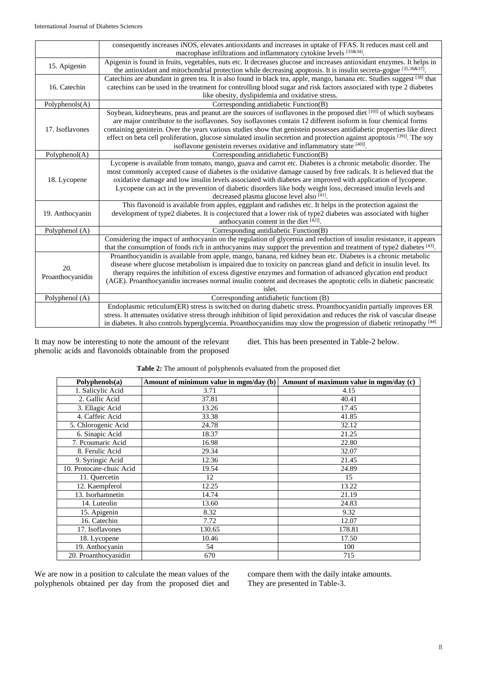|                                                                                                                      | consequently increases iNOS, elevates antioxidants and increases in uptake of FFAS. It reduces mast cell and                                                                                                                               |  |  |
|----------------------------------------------------------------------------------------------------------------------|--------------------------------------------------------------------------------------------------------------------------------------------------------------------------------------------------------------------------------------------|--|--|
|                                                                                                                      | macrophase infiltrations and inflammatory cytokine levels [33&34].                                                                                                                                                                         |  |  |
| 15. Apigenin                                                                                                         | Apigenin is found in fruits, vegetables, nuts etc. It decreases glucose and increases antioxidant enzymes. It helps in<br>the antioxidant and mitochondrial protection while decreasing apoptosis. It is insulin secreta-gogue [35,36&37]. |  |  |
|                                                                                                                      | Catechins are abundant in green tea. It is also found in black tea, apple, mango, banana etc. Studies suggest [38] that                                                                                                                    |  |  |
| 16. Catechin                                                                                                         | catechins can be used in the treatment for controlling blood sugar and risk factors associated with type 2 diabetes                                                                                                                        |  |  |
|                                                                                                                      | like obesity, dyslipidemia and oxidative stress.                                                                                                                                                                                           |  |  |
| Polyphenols(A)                                                                                                       | Corresponding antidiabetic Function(B)                                                                                                                                                                                                     |  |  |
|                                                                                                                      | Soybean, kidneybeans, peas and peanut are the sources of isoflavones in the proposed diet [10]] of which soybeans                                                                                                                          |  |  |
|                                                                                                                      | are major contributor to the isoflavones. Soy isoflavones contain 12 different isoform in four chemical forms                                                                                                                              |  |  |
| 17. Isoflavones                                                                                                      | containing genistein. Over the years various studies show that genistein possesses antidiabetic properties like direct                                                                                                                     |  |  |
|                                                                                                                      | effect on beta cell proliferation, glucose simulated insulin secretion and protection against apoptosis [39]. The soy                                                                                                                      |  |  |
|                                                                                                                      | isoflavone genistein reverses oxidative and inflammatory state [40]].                                                                                                                                                                      |  |  |
| Polyphenol(A)                                                                                                        | Corresponding antidiabetic Function(B)                                                                                                                                                                                                     |  |  |
|                                                                                                                      | Lycopene is available from tomato, mango, guava and carrot etc. Diabetes is a chronic metabolic disorder. The                                                                                                                              |  |  |
|                                                                                                                      | most commonly accepted cause of diabetes is the oxidative damage caused by free radicals. It is believed that the                                                                                                                          |  |  |
| 18. Lycopene                                                                                                         | oxidative damage and low insulin levels associated with diabetes are improved with application of lycopene.                                                                                                                                |  |  |
|                                                                                                                      | Lycopene can act in the prevention of diabetic disorders like body weight loss, decreased insulin levels and                                                                                                                               |  |  |
|                                                                                                                      | decreased plasma glucose level also [41].                                                                                                                                                                                                  |  |  |
|                                                                                                                      | This flavonoid is available from apples, eggplant and radishes etc. It helps in the protection against the                                                                                                                                 |  |  |
| 19. Anthocyanin                                                                                                      | development of type2 diabetes. It is conjectured that a lower risk of type2 diabetes was associated with higher                                                                                                                            |  |  |
|                                                                                                                      | anthocyanin content in the diet $[42]$ .                                                                                                                                                                                                   |  |  |
| Polyphenol (A)                                                                                                       | Corresponding antidiabetic Function(B)                                                                                                                                                                                                     |  |  |
|                                                                                                                      | Considering the impact of anthocyanin on the regulation of glycemia and reduction of insulin resistance, it appears                                                                                                                        |  |  |
|                                                                                                                      | that the consumption of foods rich in anthocyanins may support the prevention and treatment of type2 diabetes [43].                                                                                                                        |  |  |
|                                                                                                                      | Proanthocyanidin is available from apple, mango, banana, red kidney bean etc. Diabetes is a chronic metabolic                                                                                                                              |  |  |
| 20.                                                                                                                  | disease where glucose metabolism is impaired due to toxicity on pancreas gland and deficit in insulin level. Its                                                                                                                           |  |  |
|                                                                                                                      | therapy requires the inhibition of excess digestive enzymes and formation of advanced glycation end product                                                                                                                                |  |  |
| Proanthocyanidin                                                                                                     | (AGE). Proanthocyanidin increases normal insulin content and decreases the apoptotic cells in diabetic pancreatic                                                                                                                          |  |  |
|                                                                                                                      | islet.                                                                                                                                                                                                                                     |  |  |
| Polyphenol (A)                                                                                                       | Corresponding antidiabetic functiom (B)                                                                                                                                                                                                    |  |  |
|                                                                                                                      | Endoplasmic reticulum(ER) stress is switched on during diabetic stress. Proanthocyanidin partially improves ER                                                                                                                             |  |  |
|                                                                                                                      | stress. It attenuates oxidative stress through inhibition of lipid peroxidation and reduces the risk of vascular disease                                                                                                                   |  |  |
| in diabetes. It also controls hyperglycemia. Proanthocyanidins may slow the progression of diabetic retinopathy [44] |                                                                                                                                                                                                                                            |  |  |

It may now be interesting to note the amount of the relevant phenolic acids and flavonoids obtainable from the proposed diet. This has been presented in Table-2 below.

| Polaphenols(a)           | Amount of minimum value in mgm/day (b) | Amount of maximum value in mgm/day (c) |
|--------------------------|----------------------------------------|----------------------------------------|
| 1. Salicylic Acid        | 3.71                                   | 4.15                                   |
| 2. Gallic Acid           | 37.81                                  | 40.41                                  |
| 3. Ellagic Acid          | 13.26                                  | 17.45                                  |
| 4. Caffeic Acid          | 33.38                                  | 41.85                                  |
| 5. Chlorogenic Acid      | 24.78                                  | 32.12                                  |
| 6. Sinapic Acid          | 18.37                                  | 21.25                                  |
| 7. Peoumaric Acid        | 16.98                                  | 22.80                                  |
| 8. Ferulic Acid          | 29.34                                  | 32.07                                  |
| 9. Syringic Acid         | 12.36                                  | 21.45                                  |
| 10. Protocate-chuic Acid | 19.54                                  | 24.89                                  |
| 11. Quercetin            | 12                                     | 15                                     |
| 12. Kaempferol           | 12.25                                  | 13.22                                  |
| 13. Isorhamnetin         | 14.74                                  | 21.19                                  |
| 14. Luteolin             | 13.60                                  | 24.83                                  |
| 15. Apigenin             | 8.32                                   | 9.32                                   |
| 16. Catechin             | 7.72                                   | 12.07                                  |
| 17. Isoflavones          | 130.65                                 | 178.81                                 |
| 18. Lycopene             | 10.46                                  | 17.50                                  |
| 19. Anthocyanin          | 54                                     | 100                                    |
| 20. Proanthocyanidin     | 670                                    | 715                                    |

# **Table 2:** The amount of polyphenols evaluated from the proposed diet

We are now in a position to calculate the mean values of the polyphenols obtained per day from the proposed diet and compare them with the daily intake amounts. They are presented in Table-3.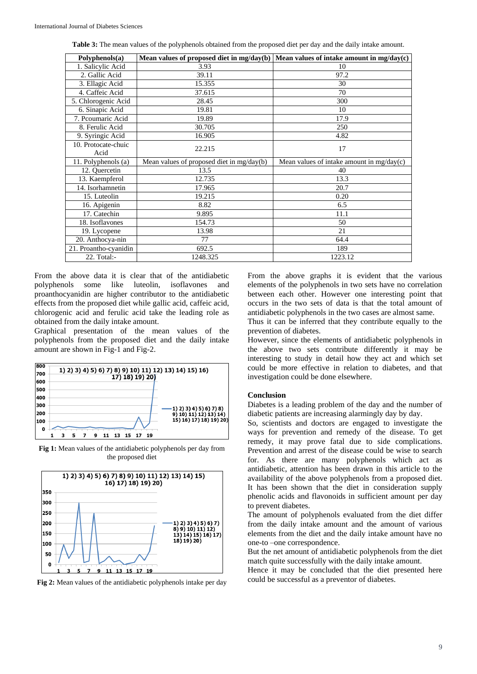**Table 3:** The mean values of the polyphenols obtained from the proposed diet per day and the daily intake amount.

| Polyphenols(a)              |                                           | Mean values of proposed diet in mg/day(b) Mean values of intake amount in mg/day(c) |
|-----------------------------|-------------------------------------------|-------------------------------------------------------------------------------------|
| 1. Salicylic Acid           | 3.93                                      | 10                                                                                  |
| 2. Gallic Acid              | 39.11                                     | 97.2                                                                                |
| 3. Ellagic Acid             | 15.355                                    | 30                                                                                  |
| 4. Caffeic Acid             | 37.615                                    | 70                                                                                  |
| 5. Chlorogenic Acid         | 28.45                                     | 300                                                                                 |
| 6. Sinapic Acid             | 19.81                                     | 10                                                                                  |
| 7. Pcoumaric Acid           | 19.89                                     | 17.9                                                                                |
| 8. Ferulic Acid             | 30.705                                    | 250                                                                                 |
| 9. Syringic Acid            | 16.905                                    | 4.82                                                                                |
| 10. Protocate-chuic<br>Acid | 22.215                                    | 17                                                                                  |
| 11. Polyphenols (a)         | Mean values of proposed diet in mg/day(b) | Mean values of intake amount in mg/day(c)                                           |
| 12. Quercetin               | 13.5                                      | 40                                                                                  |
| 13. Kaempferol              | 12.735                                    | 13.3                                                                                |
| 14. Isorhamnetin            | 17.965                                    | 20.7                                                                                |
| 15. Luteolin                | 19.215                                    | 0.20                                                                                |
| 16. Apigenin                | 8.82                                      | 6.5                                                                                 |
| 17. Catechin                | 9.895                                     | 11.1                                                                                |
| 18. Isoflavones             | 154.73                                    | 50                                                                                  |
| 19. Lycopene                | 13.98                                     | 21                                                                                  |
| 20. Anthocya-nin            | 77                                        | 64.4                                                                                |
| 21. Proantho-cyanidin       | 692.5                                     | 189                                                                                 |
| 22. Total:-                 | 1248.325                                  | 1223.12                                                                             |

From the above data it is clear that of the antidiabetic polyphenols some like luteolin, isoflavones and proanthocyanidin are higher contributor to the antidiabetic effects from the proposed diet while gallic acid, caffeic acid, chlorogenic acid and ferulic acid take the leading role as obtained from the daily intake amount.

Graphical presentation of the mean values of the polyphenols from the proposed diet and the daily intake amount are shown in Fig-1 and Fig-2.



**Fig 1:** Mean values of the antidiabetic polyphenols per day from the proposed diet



**Fig 2:** Mean values of the antidiabetic polyphenols intake per day

From the above graphs it is evident that the various elements of the polyphenols in two sets have no correlation between each other. However one interesting point that occurs in the two sets of data is that the total amount of antidiabetic polyphenols in the two cases are almost same.

Thus it can be inferred that they contribute equally to the prevention of diabetes.

However, since the elements of antidiabetic polyphenols in the above two sets contribute differently it may be interesting to study in detail how they act and which set could be more effective in relation to diabetes, and that investigation could be done elsewhere.

#### **Conclusion**

Diabetes is a leading problem of the day and the number of diabetic patients are increasing alarmingly day by day.

So, scientists and doctors are engaged to investigate the ways for prevention and remedy of the disease. To get remedy, it may prove fatal due to side complications. Prevention and arrest of the disease could be wise to search for. As there are many polyphenols which act as antidiabetic, attention has been drawn in this article to the availability of the above polyphenols from a proposed diet. It has been shown that the diet in consideration supply phenolic acids and flavonoids in sufficient amount per day to prevent diabetes.

The amount of polyphenols evaluated from the diet differ from the daily intake amount and the amount of various elements from the diet and the daily intake amount have no one-to –one correspondence.

But the net amount of antidiabetic polyphenols from the diet match quite successfully with the daily intake amount.

Hence it may be concluded that the diet presented here could be successful as a preventor of diabetes.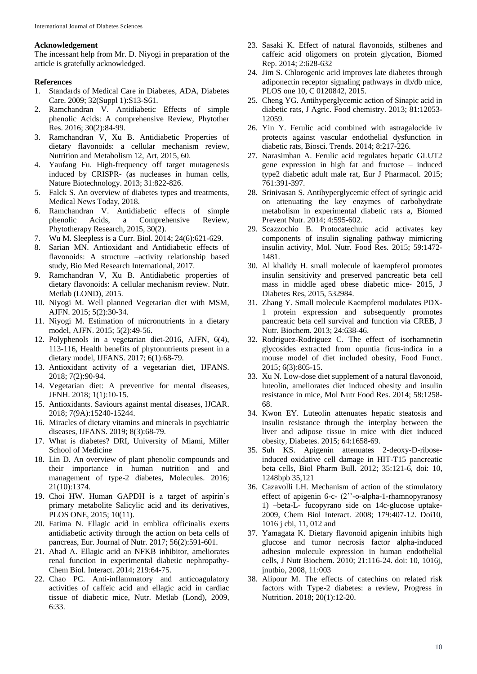### **Acknowledgement**

The incessant help from Mr. D. Niyogi in preparation of the article is gratefully acknowledged.

#### **References**

- 1. Standards of Medical Care in Diabetes, ADA, Diabetes Care. 2009; 32(Suppl 1):S13-S61.
- 2. Ramchandran V. Antidiabetic Effects of simple phenolic Acids: A comprehensive Review, Phytother Res. 2016; 30(2):84-99.
- 3. Ramchandran V, Xu B. Antidiabetic Properties of dietary flavonoids: a cellular mechanism review, Nutrition and Metabolism 12, Art, 2015, 60.
- 4. Yaufang Fu. High-frequency off target mutagenesis induced by CRISPR- (as nucleases in human cells, Nature Biotechnology. 2013; 31:822-826.
- 5. Falck S. An overview of diabetes types and treatments, Medical News Today, 2018.
- 6. Ramchandran V. Antidiabetic effects of simple phenolic Acids, a Comprehensive Review, Phytotherapy Research, 2015, 30(2).
- 7. Wu M. Sleepless is a Curr. Biol. 2014; 24(6):621-629.
- 8. Sarian MN. Antioxidant and Antidiabetic effects of flavonoids: A structure –activity relationship based study, Bio Med Research International, 2017.
- 9. Ramchandran V, Xu B. Antidiabetic properties of dietary flavonoids: A cellular mechanism review. Nutr. Metlab (LOND), 2015.
- 10. Niyogi M. Well planned Vegetarian diet with MSM, AJFN. 2015; 5(2):30-34.
- 11. Niyogi M. Estimation of micronutrients in a dietary model, AJFN. 2015; 5(2):49-56.
- 12. Polyphenols in a vegetarian diet-2016, AJFN, 6(4), 113-116, Health benefits of phytonutrients present in a dietary model, IJFANS. 2017; 6(1):68-79.
- 13. Antioxidant activity of a vegetarian diet, IJFANS. 2018; 7(2):90-94.
- 14. Vegetarian diet: A preventive for mental diseases, JFNH. 2018; 1(1):10-15.
- 15. Antioxidants. Saviours against mental diseases, IJCAR. 2018; 7(9A):15240-15244.
- 16. Miracles of dietary vitamins and minerals in psychiatric diseases, IJFANS. 2019; 8(3):68-79.
- 17. What is diabetes? DRI, University of Miami, Miller School of Medicine
- 18. Lin D. An overview of plant phenolic compounds and their importance in human nutrition and and management of type-2 diabetes, Molecules. 2016; 21(10):1374.
- 19. Choi HW. Human GAPDH is a target of aspirin's primary metabolite Salicylic acid and its derivatives, PLOS ONE, 2015; 10(11).
- 20. Fatima N. Ellagic acid in emblica officinalis exerts antidiabetic activity through the action on beta cells of pancreas, Eur. Journal of Nutr. 2017; 56(2):591-601.
- 21. Ahad A. Ellagic acid an NFKB inhibitor, ameliorates renal function in experimental diabetic nephropathy-Chem Biol. Interact. 2014; 219:64-75.
- 22. Chao PC. Anti-inflammatory and anticoagulatory activities of caffeic acid and ellagic acid in cardiac tissue of diabetic mice, Nutr. Metlab (Lond), 2009, 6:33.
- 23. Sasaki K. Effect of natural flavonoids, stilbenes and caffeic acid oligomers on protein glycation, Biomed Rep. 2014; 2:628-632
- 24. Jim S. Chlorogenic acid improves late diabetes through adiponectin receptor signaling pathways in db/db mice, PLOS one 10, C 0120842, 2015.
- 25. Cheng YG. Antihyperglycemic action of Sinapic acid in diabetic rats, J Agric. Food chemistry. 2013; 81:12053- 12059.
- 26. Yin Y. Ferulic acid combined with astragalocide iv protects against vascular endothelial dysfunction in diabetic rats, Biosci. Trends. 2014; 8:217-226.
- 27. Narasimhan A. Ferulic acid regulates hepatic GLUT2 gene expression in high fat and fructose – induced type2 diabetic adult male rat, Eur J Pharmacol. 2015; 761:391-397.
- 28. Srinivasan S. Antihyperglycemic effect of syringic acid on attenuating the key enzymes of carbohydrate metabolism in experimental diabetic rats a, Biomed Prevent Nutr. 2014; 4:595-602.
- 29. Scazzochio B. Protocatechuic acid activates key components of insulin signaling pathway mimicring insulin activity, Mol. Nutr. Food Res. 2015; 59:1472- 1481.
- 30. Al khalidy H. small molecule of kaempferol promotes insulin sensitivity and preserved pancreatic beta cell mass in middle aged obese diabetic mice- 2015, J Diabetes Res, 2015, 532984.
- 31. Zhang Y. Small molecule Kaempferol modulates PDX-1 protein expression and subsequently promotes pancreatic beta cell survival and function via CREB, J Nutr. Biochem. 2013; 24:638-46.
- 32. Rodriguez-Rodriguez C. The effect of isorhamnetin glycosides extracted from opuntia ficus-indica in a mouse model of diet included obesity, Food Funct. 2015; 6(3):805-15.
- 33. Xu N. Low-dose diet supplement of a natural flavonoid, luteolin, ameliorates diet induced obesity and insulin resistance in mice, Mol Nutr Food Res. 2014; 58:1258- 68.
- 34. Kwon EY. Luteolin attenuates hepatic steatosis and insulin resistance through the interplay between the liver and adipose tissue in mice with diet induced obesity, Diabetes. 2015; 64:1658-69.
- 35. Suh KS. Apigenin attenuates 2-deoxy-D-riboseinduced oxidative cell damage in HIT-T15 pancreatic beta cells, Biol Pharm Bull. 2012; 35:121-6, doi: 10, 1248bpb 35,121
- 36. Cazavolli LH. Mechanism of action of the stimulatory effect of apigenin 6-c- (2''-o-alpha-1-rhamnopyranosy 1) –beta-L- fucopyrano side on 14c-glucose uptake-2009, Chem Biol Interact. 2008; 179:407-12. Doi10, 1016 j cbi, 11, 012 and
- 37. Yamagata K. Dietary flavonoid apigenin inhibits high glucose and tumor necrosis factor alpha-induced adhesion molecule expression in human endothelial cells, J Nutr Biochem. 2010; 21:116-24. doi: 10, 1016j, jnutbio, 2008, 11:003
- 38. Alipour M. The effects of catechins on related risk factors with Type-2 diabetes: a review, Progress in Nutrition. 2018; 20(1):12-20.